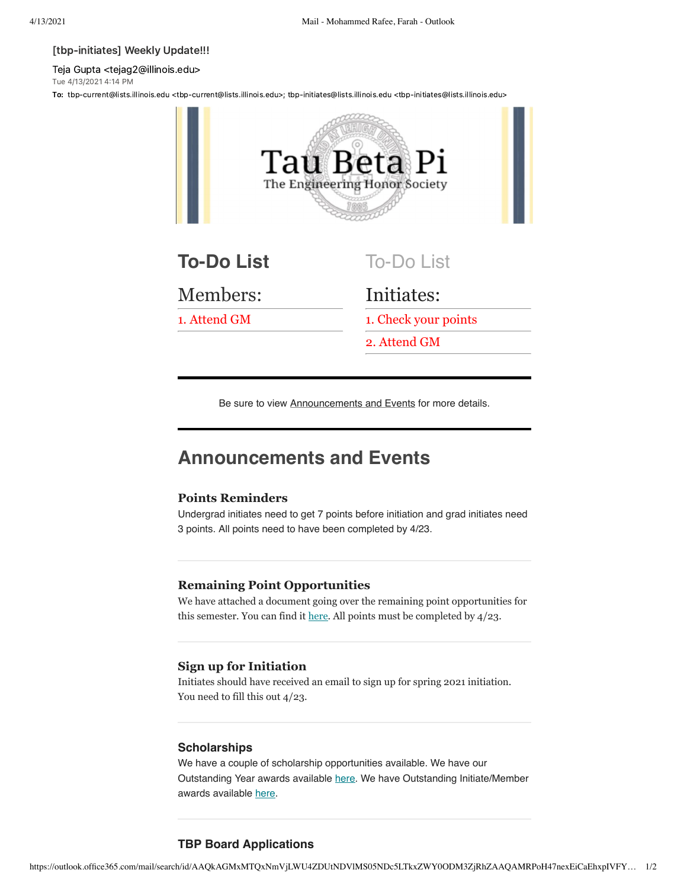#### [tbp-initiates] Weekly Update!!!

Teja Gupta <tejag2@illinois.edu> Tue 4/13/2021 4:14 PM

To: tbp-current@lists.illinois.edu <tbp-current@lists.illinois.edu>; tbp-initiates@lists.illinois.edu <tbp-initiates@lists.illinois.edu>



Be sure to view Announcements and Events for more details.

# **Announcements and Events**

## **Points Reminders**

Undergrad initiates need to get 7 points before initiation and grad initiates need 3 points. All points need to have been completed by 4/23.

## **Remaining Point Opportunities**

We have attached a document going over the remaining point opportunities for this semester. You can find it <u>here</u>. All points must be completed by  $4/23$ .

## **Sign up for Initiation**

Initiates should have received an email to sign up for spring 2021 initiation. You need to fill this out 4/23.

#### **Scholarships**

We have a couple of scholarship opportunities available. We have our Outstanding Year awards available [here.](https://urldefense.com/v3/__https://docs.google.com/forms/d/e/1FAIpQLSemGSUgdAIKawy8y-fWMuxw1KRqDYSjVqHpXrEQFW5VrDzlCg/viewform__;!!DZ3fjg!uBQ2a2qiCaUOUYEAhsx-Fdc1yAmwUkjn41zrMlWkKl9KeHKB7KHgKDhQnwloW8vtKvCgt7qNWik$) We have Outstanding Initiate/Member awards available [here.](https://urldefense.com/v3/__https://docs.google.com/forms/d/e/1FAIpQLSfNtf3OsQjUiPRCKGF_Iq3Lysk5GKlEW3HUBpTKyEci9RhICQ/viewform__;!!DZ3fjg!uBQ2a2qiCaUOUYEAhsx-Fdc1yAmwUkjn41zrMlWkKl9KeHKB7KHgKDhQnwloW8vtKvCgzHJmFCI$)

# **TBP Board Applications**